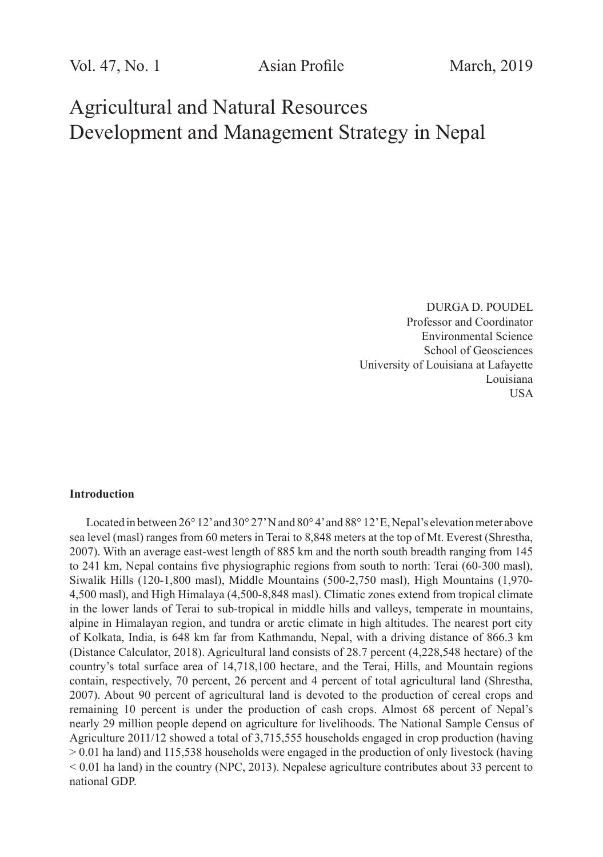Vol. 47, No. 1 **Asian Profile** March, 2019

# Agricultural and Natural Resources Development and Management Strategy in Nepal

DURGA D. POUDEL Professor and Coordinator Environmental Science School of Geosciences University of Louisiana at Lafayette Louisiana USA

#### **Introduction**

Located in between 26° 12' and 30° 27' N and 80° 4' and 88° 12' E, Nepal's elevation meter above sea level (masl) ranges from 60 meters in Terai to 8,848 meters at the top of Mt. Everest (Shrestha, 2007). With an average east-west length of 885 km and the north south breadth ranging from 145 to 241 km, Nepal contains five physiographic regions from south to north: Terai (60-300 masl), Siwalik Hills (120-1,800 masl), Middle Mountains (500-2,750 masl), High Mountains (1,970- 4,500 masl), and High Himalaya (4,500-8,848 masl). Climatic zones extend from tropical climate in the lower lands of Terai to sub-tropical in middle hills and valleys, temperate in mountains, alpine in Himalayan region, and tundra or arctic climate in high altitudes. The nearest port city of Kolkata, India, is 648 km far from Kathmandu, Nepal, with a driving distance of 866.3 km (Distance Calculator, 2018). Agricultural land consists of 28.7 percent (4,228,548 hectare) of the country's total surface area of 14,718,100 hectare, and the Terai, Hills, and Mountain regions contain, respectively, 70 percent, 26 percent and 4 percent of total agricultural land (Shrestha, 2007). About 90 percent of agricultural land is devoted to the production of cereal crops and remaining 10 percent is under the production of cash crops. Almost 68 percent of Nepal's nearly 29 million people depend on agriculture for livelihoods. The National Sample Census of Agriculture 2011/12 showed a total of 3,715,555 households engaged in crop production (having > 0.01 ha land) and 115,538 households were engaged in the production of only livestock (having  $< 0.01$  ha land) in the country (NPC, 2013). Nepalese agriculture contributes about 33 percent to national GDP.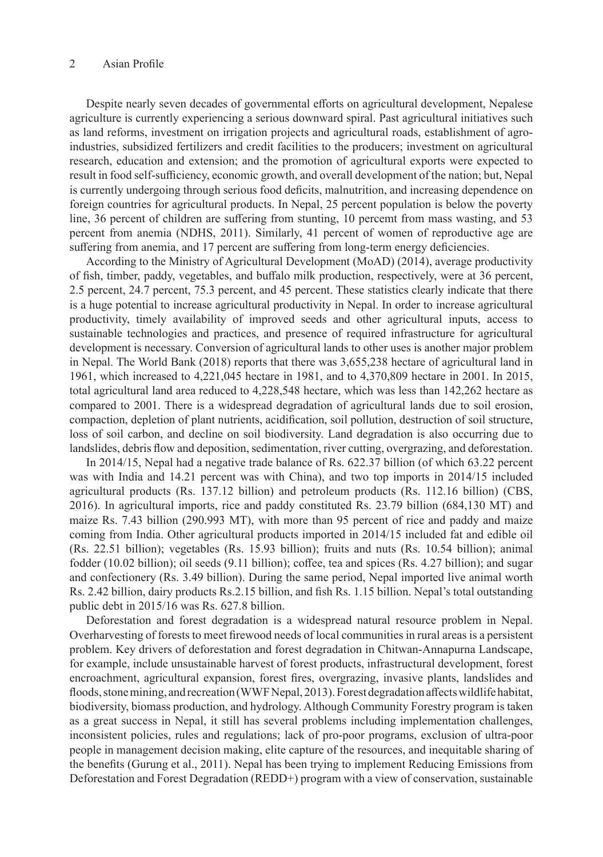Despite nearly seven decades of governmental efforts on agricultural development, Nepalese agriculture is currently experiencing a serious downward spiral. Past agricultural initiatives such as land reforms, investment on irrigation projects and agricultural roads, establishment of agroindustries, subsidized fertilizers and credit facilities to the producers; investment on agricultural research, education and extension; and the promotion of agricultural exports were expected to result in food self-sufficiency, economic growth, and overall development of the nation; but, Nepal is currently undergoing through serious food deficits, malnutrition, and increasing dependence on foreign countries for agricultural products. In Nepal, 25 percent population is below the poverty line, 36 percent of children are suffering from stunting, 10 percemt from mass wasting, and 53 percent from anemia (NDHS, 2011). Similarly, 41 percent of women of reproductive age are suffering from anemia, and 17 percent are suffering from long-term energy deficiencies.

According to the Ministry of Agricultural Development (MoAD) (2014), average productivity of fish, timber, paddy, vegetables, and buffalo milk production, respectively, were at 36 percent, 2.5 percent, 24.7 percent, 75.3 percent, and 45 percent. These statistics clearly indicate that there is a huge potential to increase agricultural productivity in Nepal. In order to increase agricultural productivity, timely availability of improved seeds and other agricultural inputs, access to sustainable technologies and practices, and presence of required infrastructure for agricultural development is necessary. Conversion of agricultural lands to other uses is another major problem in Nepal. The World Bank (2018) reports that there was 3,655,238 hectare of agricultural land in 1961, which increased to 4,221,045 hectare in 1981, and to 4,370,809 hectare in 2001. In 2015, total agricultural land area reduced to 4,228,548 hectare, which was less than 142,262 hectare as compared to 2001. There is a widespread degradation of agricultural lands due to soil erosion, compaction, depletion of plant nutrients, acidification, soil pollution, destruction of soil structure, loss of soil carbon, and decline on soil biodiversity. Land degradation is also occurring due to landslides, debris flow and deposition, sedimentation, river cutting, overgrazing, and deforestation.

In 2014/15, Nepal had a negative trade balance of Rs. 622.37 billion (of which 63.22 percent was with India and 14.21 percent was with China), and two top imports in 2014/15 included agricultural products (Rs. 137.12 billion) and petroleum products (Rs. 112.16 billion) (CBS, 2016). In agricultural imports, rice and paddy constituted Rs. 23.79 billion (684,130 MT) and maize Rs. 7.43 billion (290.993 MT), with more than 95 percent of rice and paddy and maize coming from India. Other agricultural products imported in 2014/15 included fat and edible oil (Rs. 22.51 billion); vegetables (Rs. 15.93 billion); fruits and nuts (Rs. 10.54 billion); animal fodder (10.02 billion); oil seeds (9.11 billion); coffee, tea and spices (Rs. 4.27 billion); and sugar and confectionery (Rs. 3.49 billion). During the same period, Nepal imported live animal worth Rs. 2.42 billion, dairy products Rs.2.15 billion, and fish Rs. 1.15 billion. Nepal's total outstanding public debt in 2015/16 was Rs. 627.8 billion.

Deforestation and forest degradation is a widespread natural resource problem in Nepal. Overharvesting of forests to meet firewood needs of local communities in rural areas is a persistent problem. Key drivers of deforestation and forest degradation in Chitwan-Annapurna Landscape, for example, include unsustainable harvest of forest products, infrastructural development, forest encroachment, agricultural expansion, forest fires, overgrazing, invasive plants, landslides and floods, stone mining, and recreation (WWF Nepal, 2013). Forest degradation affects wildlife habitat, biodiversity, biomass production, and hydrology. Although Community Forestry program is taken as a great success in Nepal, it still has several problems including implementation challenges, inconsistent policies, rules and regulations; lack of pro-poor programs, exclusion of ultra-poor people in management decision making, elite capture of the resources, and inequitable sharing of the benefits (Gurung et al., 2011). Nepal has been trying to implement Reducing Emissions from Deforestation and Forest Degradation (REDD+) program with a view of conservation, sustainable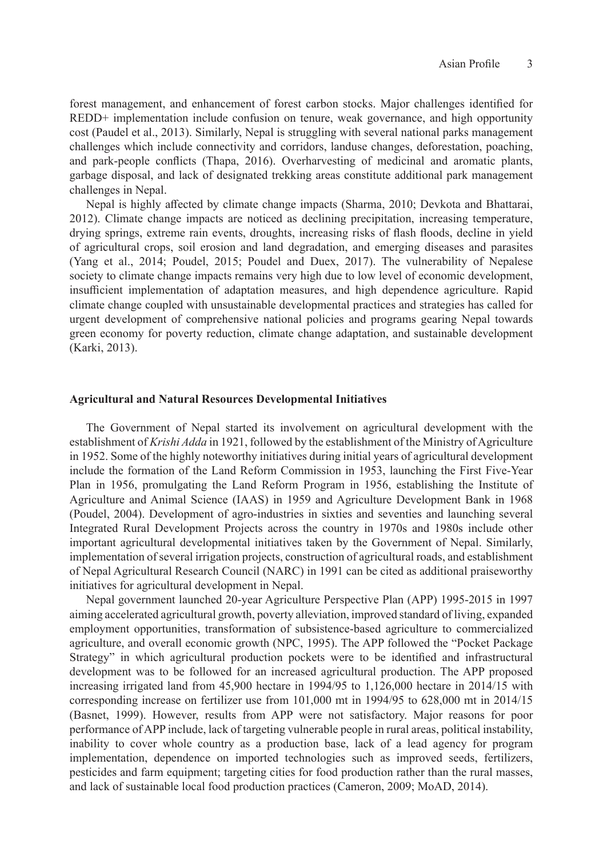forest management, and enhancement of forest carbon stocks. Major challenges identified for REDD+ implementation include confusion on tenure, weak governance, and high opportunity cost (Paudel et al., 2013). Similarly, Nepal is struggling with several national parks management challenges which include connectivity and corridors, landuse changes, deforestation, poaching, and park-people conflicts (Thapa, 2016). Overharvesting of medicinal and aromatic plants, garbage disposal, and lack of designated trekking areas constitute additional park management challenges in Nepal.

Nepal is highly affected by climate change impacts (Sharma, 2010; Devkota and Bhattarai, 2012). Climate change impacts are noticed as declining precipitation, increasing temperature, drying springs, extreme rain events, droughts, increasing risks of flash floods, decline in yield of agricultural crops, soil erosion and land degradation, and emerging diseases and parasites (Yang et al., 2014; Poudel, 2015; Poudel and Duex, 2017). The vulnerability of Nepalese society to climate change impacts remains very high due to low level of economic development, insufficient implementation of adaptation measures, and high dependence agriculture. Rapid climate change coupled with unsustainable developmental practices and strategies has called for urgent development of comprehensive national policies and programs gearing Nepal towards green economy for poverty reduction, climate change adaptation, and sustainable development (Karki, 2013).

#### **Agricultural and Natural Resources Developmental Initiatives**

The Government of Nepal started its involvement on agricultural development with the establishment of *Krishi Adda* in 1921, followed by the establishment of the Ministry of Agriculture in 1952. Some of the highly noteworthy initiatives during initial years of agricultural development include the formation of the Land Reform Commission in 1953, launching the First Five-Year Plan in 1956, promulgating the Land Reform Program in 1956, establishing the Institute of Agriculture and Animal Science (IAAS) in 1959 and Agriculture Development Bank in 1968 (Poudel, 2004). Development of agro-industries in sixties and seventies and launching several Integrated Rural Development Projects across the country in 1970s and 1980s include other important agricultural developmental initiatives taken by the Government of Nepal. Similarly, implementation of several irrigation projects, construction of agricultural roads, and establishment of Nepal Agricultural Research Council (NARC) in 1991 can be cited as additional praiseworthy initiatives for agricultural development in Nepal.

Nepal government launched 20-year Agriculture Perspective Plan (APP) 1995-2015 in 1997 aiming accelerated agricultural growth, poverty alleviation, improved standard of living, expanded employment opportunities, transformation of subsistence-based agriculture to commercialized agriculture, and overall economic growth (NPC, 1995). The APP followed the "Pocket Package Strategy" in which agricultural production pockets were to be identified and infrastructural development was to be followed for an increased agricultural production. The APP proposed increasing irrigated land from 45,900 hectare in 1994/95 to 1,126,000 hectare in 2014/15 with corresponding increase on fertilizer use from 101,000 mt in 1994/95 to 628,000 mt in 2014/15 (Basnet, 1999). However, results from APP were not satisfactory. Major reasons for poor performance of APP include, lack of targeting vulnerable people in rural areas, political instability, inability to cover whole country as a production base, lack of a lead agency for program implementation, dependence on imported technologies such as improved seeds, fertilizers, pesticides and farm equipment; targeting cities for food production rather than the rural masses, and lack of sustainable local food production practices (Cameron, 2009; MoAD, 2014).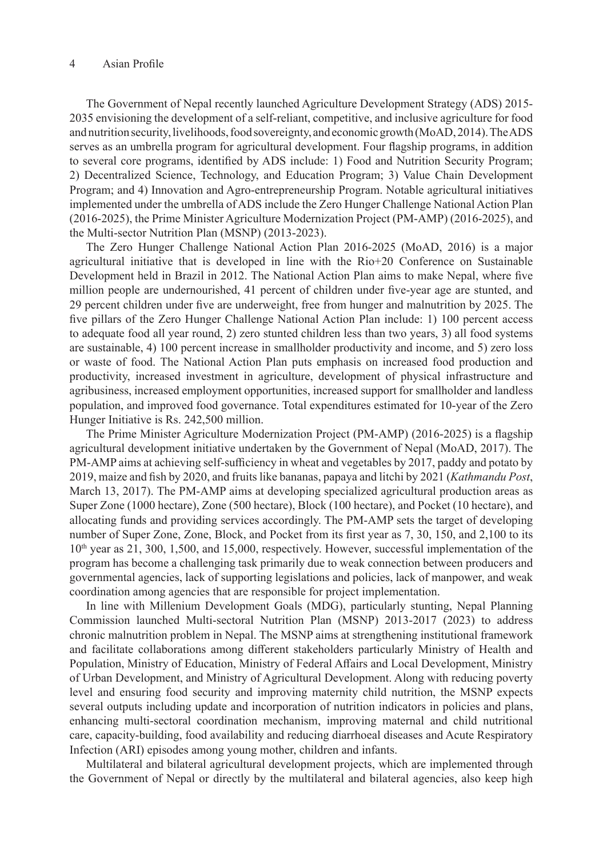The Government of Nepal recently launched Agriculture Development Strategy (ADS) 2015- 2035 envisioning the development of a self-reliant, competitive, and inclusive agriculture for food and nutrition security, livelihoods, food sovereignty, and economic growth (MoAD, 2014). The ADS serves as an umbrella program for agricultural development. Four flagship programs, in addition to several core programs, identified by ADS include: 1) Food and Nutrition Security Program; 2) Decentralized Science, Technology, and Education Program; 3) Value Chain Development Program; and 4) Innovation and Agro-entrepreneurship Program. Notable agricultural initiatives implemented under the umbrella of ADS include the Zero Hunger Challenge National Action Plan (2016-2025), the Prime Minister Agriculture Modernization Project (PM-AMP) (2016-2025), and the Multi-sector Nutrition Plan (MSNP) (2013-2023).

The Zero Hunger Challenge National Action Plan 2016-2025 (MoAD, 2016) is a major agricultural initiative that is developed in line with the Rio+20 Conference on Sustainable Development held in Brazil in 2012. The National Action Plan aims to make Nepal, where five million people are undernourished, 41 percent of children under five-year age are stunted, and 29 percent children under five are underweight, free from hunger and malnutrition by 2025. The five pillars of the Zero Hunger Challenge National Action Plan include: 1) 100 percent access to adequate food all year round, 2) zero stunted children less than two years, 3) all food systems are sustainable, 4) 100 percent increase in smallholder productivity and income, and 5) zero loss or waste of food. The National Action Plan puts emphasis on increased food production and productivity, increased investment in agriculture, development of physical infrastructure and agribusiness, increased employment opportunities, increased support for smallholder and landless population, and improved food governance. Total expenditures estimated for 10-year of the Zero Hunger Initiative is Rs. 242,500 million.

The Prime Minister Agriculture Modernization Project (PM-AMP) (2016-2025) is a flagship agricultural development initiative undertaken by the Government of Nepal (MoAD, 2017). The PM-AMP aims at achieving self-sufficiency in wheat and vegetables by 2017, paddy and potato by 2019, maize and fish by 2020, and fruits like bananas, papaya and litchi by 2021 (*Kathmandu Post*, March 13, 2017). The PM-AMP aims at developing specialized agricultural production areas as Super Zone (1000 hectare), Zone (500 hectare), Block (100 hectare), and Pocket (10 hectare), and allocating funds and providing services accordingly. The PM-AMP sets the target of developing number of Super Zone, Zone, Block, and Pocket from its first year as 7, 30, 150, and 2,100 to its  $10<sup>th</sup>$  year as 21, 300, 1,500, and 15,000, respectively. However, successful implementation of the program has become a challenging task primarily due to weak connection between producers and governmental agencies, lack of supporting legislations and policies, lack of manpower, and weak coordination among agencies that are responsible for project implementation.

In line with Millenium Development Goals (MDG), particularly stunting, Nepal Planning Commission launched Multi-sectoral Nutrition Plan (MSNP) 2013-2017 (2023) to address chronic malnutrition problem in Nepal. The MSNP aims at strengthening institutional framework and facilitate collaborations among different stakeholders particularly Ministry of Health and Population, Ministry of Education, Ministry of Federal Affairs and Local Development, Ministry of Urban Development, and Ministry of Agricultural Development. Along with reducing poverty level and ensuring food security and improving maternity child nutrition, the MSNP expects several outputs including update and incorporation of nutrition indicators in policies and plans, enhancing multi-sectoral coordination mechanism, improving maternal and child nutritional care, capacity-building, food availability and reducing diarrhoeal diseases and Acute Respiratory Infection (ARI) episodes among young mother, children and infants.

Multilateral and bilateral agricultural development projects, which are implemented through the Government of Nepal or directly by the multilateral and bilateral agencies, also keep high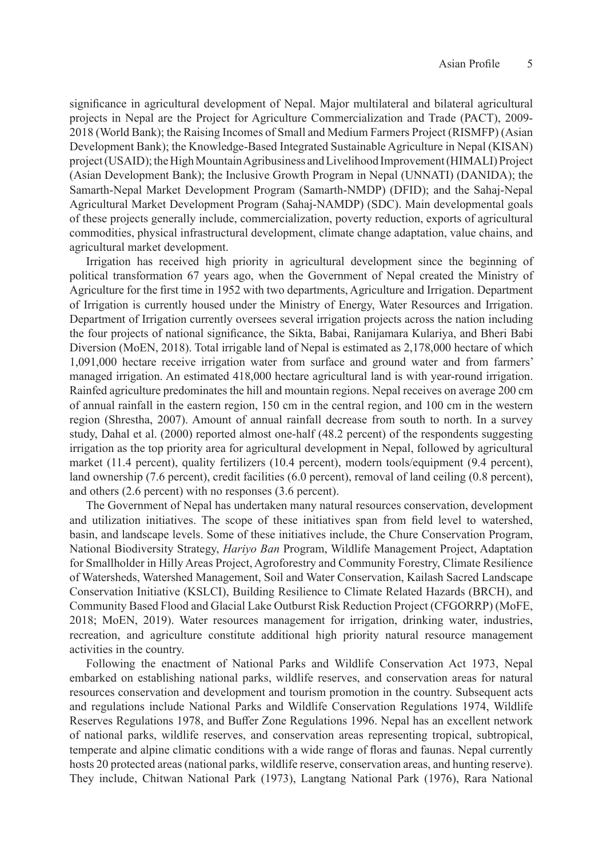significance in agricultural development of Nepal. Major multilateral and bilateral agricultural projects in Nepal are the Project for Agriculture Commercialization and Trade (PACT), 2009- 2018 (World Bank); the Raising Incomes of Small and Medium Farmers Project (RISMFP) (Asian Development Bank); the Knowledge-Based Integrated Sustainable Agriculture in Nepal (KISAN) project (USAID); the High Mountain Agribusiness and Livelihood Improvement (HIMALI) Project (Asian Development Bank); the Inclusive Growth Program in Nepal (UNNATI) (DANIDA); the Samarth-Nepal Market Development Program (Samarth-NMDP) (DFID); and the Sahaj-Nepal Agricultural Market Development Program (Sahaj-NAMDP) (SDC). Main developmental goals of these projects generally include, commercialization, poverty reduction, exports of agricultural commodities, physical infrastructural development, climate change adaptation, value chains, and agricultural market development.

Irrigation has received high priority in agricultural development since the beginning of political transformation 67 years ago, when the Government of Nepal created the Ministry of Agriculture for the first time in 1952 with two departments, Agriculture and Irrigation. Department of Irrigation is currently housed under the Ministry of Energy, Water Resources and Irrigation. Department of Irrigation currently oversees several irrigation projects across the nation including the four projects of national significance, the Sikta, Babai, Ranijamara Kulariya, and Bheri Babi Diversion (MoEN, 2018). Total irrigable land of Nepal is estimated as 2,178,000 hectare of which 1,091,000 hectare receive irrigation water from surface and ground water and from farmers' managed irrigation. An estimated 418,000 hectare agricultural land is with year-round irrigation. Rainfed agriculture predominates the hill and mountain regions. Nepal receives on average 200 cm of annual rainfall in the eastern region, 150 cm in the central region, and 100 cm in the western region (Shrestha, 2007). Amount of annual rainfall decrease from south to north. In a survey study, Dahal et al. (2000) reported almost one-half (48.2 percent) of the respondents suggesting irrigation as the top priority area for agricultural development in Nepal, followed by agricultural market (11.4 percent), quality fertilizers (10.4 percent), modern tools/equipment (9.4 percent), land ownership (7.6 percent), credit facilities (6.0 percent), removal of land ceiling (0.8 percent), and others (2.6 percent) with no responses (3.6 percent).

The Government of Nepal has undertaken many natural resources conservation, development and utilization initiatives. The scope of these initiatives span from field level to watershed, basin, and landscape levels. Some of these initiatives include, the Chure Conservation Program, National Biodiversity Strategy, *Hariyo Ban* Program, Wildlife Management Project, Adaptation for Smallholder in Hilly Areas Project, Agroforestry and Community Forestry, Climate Resilience of Watersheds, Watershed Management, Soil and Water Conservation, Kailash Sacred Landscape Conservation Initiative (KSLCI), Building Resilience to Climate Related Hazards (BRCH), and Community Based Flood and Glacial Lake Outburst Risk Reduction Project (CFGORRP) (MoFE, 2018; MoEN, 2019). Water resources management for irrigation, drinking water, industries, recreation, and agriculture constitute additional high priority natural resource management activities in the country.

Following the enactment of National Parks and Wildlife Conservation Act 1973, Nepal embarked on establishing national parks, wildlife reserves, and conservation areas for natural resources conservation and development and tourism promotion in the country. Subsequent acts and regulations include National Parks and Wildlife Conservation Regulations 1974, Wildlife Reserves Regulations 1978, and Buffer Zone Regulations 1996. Nepal has an excellent network of national parks, wildlife reserves, and conservation areas representing tropical, subtropical, temperate and alpine climatic conditions with a wide range of floras and faunas. Nepal currently hosts 20 protected areas (national parks, wildlife reserve, conservation areas, and hunting reserve). They include, Chitwan National Park (1973), Langtang National Park (1976), Rara National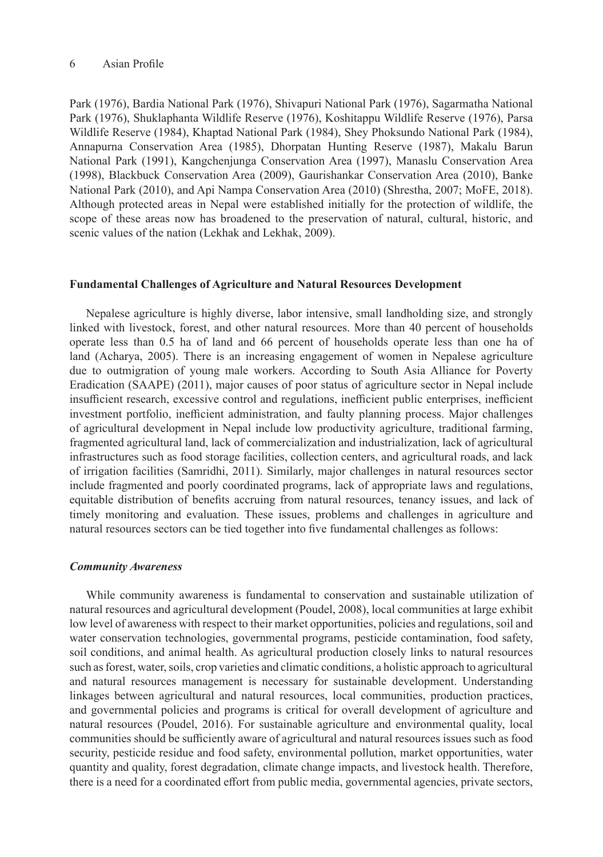Park (1976), Bardia National Park (1976), Shivapuri National Park (1976), Sagarmatha National Park (1976), Shuklaphanta Wildlife Reserve (1976), Koshitappu Wildlife Reserve (1976), Parsa Wildlife Reserve (1984), Khaptad National Park (1984), Shey Phoksundo National Park (1984), Annapurna Conservation Area (1985), Dhorpatan Hunting Reserve (1987), Makalu Barun National Park (1991), Kangchenjunga Conservation Area (1997), Manaslu Conservation Area (1998), Blackbuck Conservation Area (2009), Gaurishankar Conservation Area (2010), Banke National Park (2010), and Api Nampa Conservation Area (2010) (Shrestha, 2007; MoFE, 2018). Although protected areas in Nepal were established initially for the protection of wildlife, the scope of these areas now has broadened to the preservation of natural, cultural, historic, and scenic values of the nation (Lekhak and Lekhak, 2009).

## **Fundamental Challenges of Agriculture and Natural Resources Development**

Nepalese agriculture is highly diverse, labor intensive, small landholding size, and strongly linked with livestock, forest, and other natural resources. More than 40 percent of households operate less than 0.5 ha of land and 66 percent of households operate less than one ha of land (Acharya, 2005). There is an increasing engagement of women in Nepalese agriculture due to outmigration of young male workers. According to South Asia Alliance for Poverty Eradication (SAAPE) (2011), major causes of poor status of agriculture sector in Nepal include insufficient research, excessive control and regulations, inefficient public enterprises, inefficient investment portfolio, inefficient administration, and faulty planning process. Major challenges of agricultural development in Nepal include low productivity agriculture, traditional farming, fragmented agricultural land, lack of commercialization and industrialization, lack of agricultural infrastructures such as food storage facilities, collection centers, and agricultural roads, and lack of irrigation facilities (Samridhi, 2011). Similarly, major challenges in natural resources sector include fragmented and poorly coordinated programs, lack of appropriate laws and regulations, equitable distribution of benefits accruing from natural resources, tenancy issues, and lack of timely monitoring and evaluation. These issues, problems and challenges in agriculture and natural resources sectors can be tied together into five fundamental challenges as follows:

#### *Community Awareness*

While community awareness is fundamental to conservation and sustainable utilization of natural resources and agricultural development (Poudel, 2008), local communities at large exhibit low level of awareness with respect to their market opportunities, policies and regulations, soil and water conservation technologies, governmental programs, pesticide contamination, food safety, soil conditions, and animal health. As agricultural production closely links to natural resources such as forest, water, soils, crop varieties and climatic conditions, a holistic approach to agricultural and natural resources management is necessary for sustainable development. Understanding linkages between agricultural and natural resources, local communities, production practices, and governmental policies and programs is critical for overall development of agriculture and natural resources (Poudel, 2016). For sustainable agriculture and environmental quality, local communities should be sufficiently aware of agricultural and natural resources issues such as food security, pesticide residue and food safety, environmental pollution, market opportunities, water quantity and quality, forest degradation, climate change impacts, and livestock health. Therefore, there is a need for a coordinated effort from public media, governmental agencies, private sectors,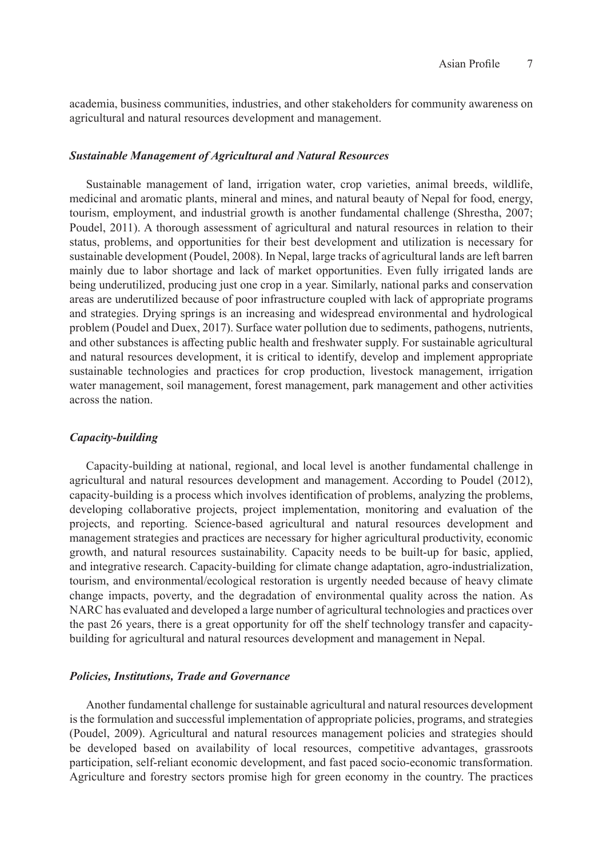academia, business communities, industries, and other stakeholders for community awareness on agricultural and natural resources development and management.

#### *Sustainable Management of Agricultural and Natural Resources*

Sustainable management of land, irrigation water, crop varieties, animal breeds, wildlife, medicinal and aromatic plants, mineral and mines, and natural beauty of Nepal for food, energy, tourism, employment, and industrial growth is another fundamental challenge (Shrestha, 2007; Poudel, 2011). A thorough assessment of agricultural and natural resources in relation to their status, problems, and opportunities for their best development and utilization is necessary for sustainable development (Poudel, 2008). In Nepal, large tracks of agricultural lands are left barren mainly due to labor shortage and lack of market opportunities. Even fully irrigated lands are being underutilized, producing just one crop in a year. Similarly, national parks and conservation areas are underutilized because of poor infrastructure coupled with lack of appropriate programs and strategies. Drying springs is an increasing and widespread environmental and hydrological problem (Poudel and Duex, 2017). Surface water pollution due to sediments, pathogens, nutrients, and other substances is affecting public health and freshwater supply. For sustainable agricultural and natural resources development, it is critical to identify, develop and implement appropriate sustainable technologies and practices for crop production, livestock management, irrigation water management, soil management, forest management, park management and other activities across the nation.

#### *Capacity-building*

Capacity-building at national, regional, and local level is another fundamental challenge in agricultural and natural resources development and management. According to Poudel (2012), capacity-building is a process which involves identification of problems, analyzing the problems, developing collaborative projects, project implementation, monitoring and evaluation of the projects, and reporting. Science-based agricultural and natural resources development and management strategies and practices are necessary for higher agricultural productivity, economic growth, and natural resources sustainability. Capacity needs to be built-up for basic, applied, and integrative research. Capacity-building for climate change adaptation, agro-industrialization, tourism, and environmental/ecological restoration is urgently needed because of heavy climate change impacts, poverty, and the degradation of environmental quality across the nation. As NARC has evaluated and developed a large number of agricultural technologies and practices over the past 26 years, there is a great opportunity for off the shelf technology transfer and capacitybuilding for agricultural and natural resources development and management in Nepal.

## *Policies, Institutions, Trade and Governance*

Another fundamental challenge for sustainable agricultural and natural resources development is the formulation and successful implementation of appropriate policies, programs, and strategies (Poudel, 2009). Agricultural and natural resources management policies and strategies should be developed based on availability of local resources, competitive advantages, grassroots participation, self-reliant economic development, and fast paced socio-economic transformation. Agriculture and forestry sectors promise high for green economy in the country. The practices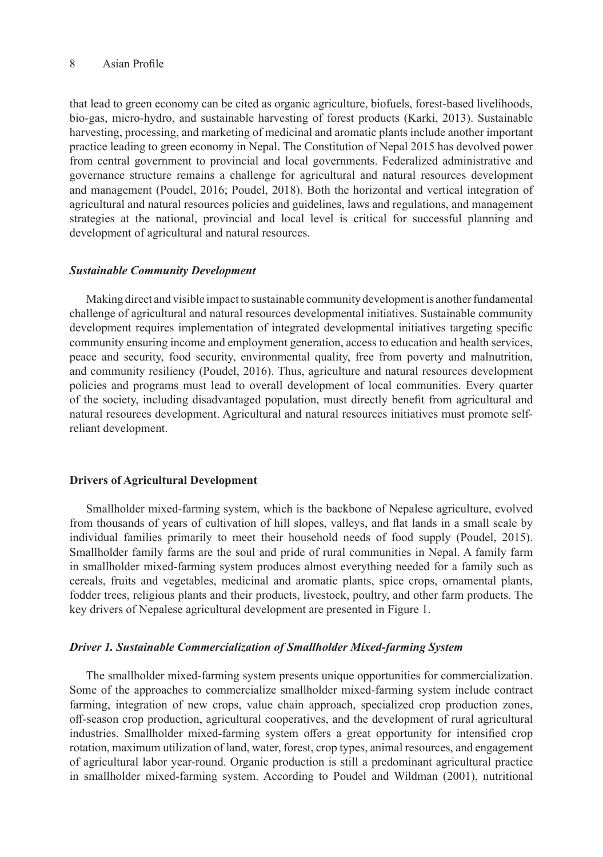that lead to green economy can be cited as organic agriculture, biofuels, forest-based livelihoods, bio-gas, micro-hydro, and sustainable harvesting of forest products (Karki, 2013). Sustainable harvesting, processing, and marketing of medicinal and aromatic plants include another important practice leading to green economy in Nepal. The Constitution of Nepal 2015 has devolved power from central government to provincial and local governments. Federalized administrative and governance structure remains a challenge for agricultural and natural resources development and management (Poudel, 2016; Poudel, 2018). Both the horizontal and vertical integration of agricultural and natural resources policies and guidelines, laws and regulations, and management strategies at the national, provincial and local level is critical for successful planning and development of agricultural and natural resources.

# *Sustainable Community Development*

Making direct and visible impact to sustainable community development is another fundamental challenge of agricultural and natural resources developmental initiatives. Sustainable community development requires implementation of integrated developmental initiatives targeting specific community ensuring income and employment generation, access to education and health services, peace and security, food security, environmental quality, free from poverty and malnutrition, and community resiliency (Poudel, 2016). Thus, agriculture and natural resources development policies and programs must lead to overall development of local communities. Every quarter of the society, including disadvantaged population, must directly benefit from agricultural and natural resources development. Agricultural and natural resources initiatives must promote selfreliant development.

## **Drivers of Agricultural Development**

Smallholder mixed-farming system, which is the backbone of Nepalese agriculture, evolved from thousands of years of cultivation of hill slopes, valleys, and flat lands in a small scale by individual families primarily to meet their household needs of food supply (Poudel, 2015). Smallholder family farms are the soul and pride of rural communities in Nepal. A family farm in smallholder mixed-farming system produces almost everything needed for a family such as cereals, fruits and vegetables, medicinal and aromatic plants, spice crops, ornamental plants, fodder trees, religious plants and their products, livestock, poultry, and other farm products. The key drivers of Nepalese agricultural development are presented in Figure 1.

#### *Driver 1. Sustainable Commercialization of Smallholder Mixed-farming System*

The smallholder mixed-farming system presents unique opportunities for commercialization. Some of the approaches to commercialize smallholder mixed-farming system include contract farming, integration of new crops, value chain approach, specialized crop production zones, off-season crop production, agricultural cooperatives, and the development of rural agricultural industries. Smallholder mixed-farming system offers a great opportunity for intensified crop rotation, maximum utilization of land, water, forest, crop types, animal resources, and engagement of agricultural labor year-round. Organic production is still a predominant agricultural practice in smallholder mixed-farming system. According to Poudel and Wildman (2001), nutritional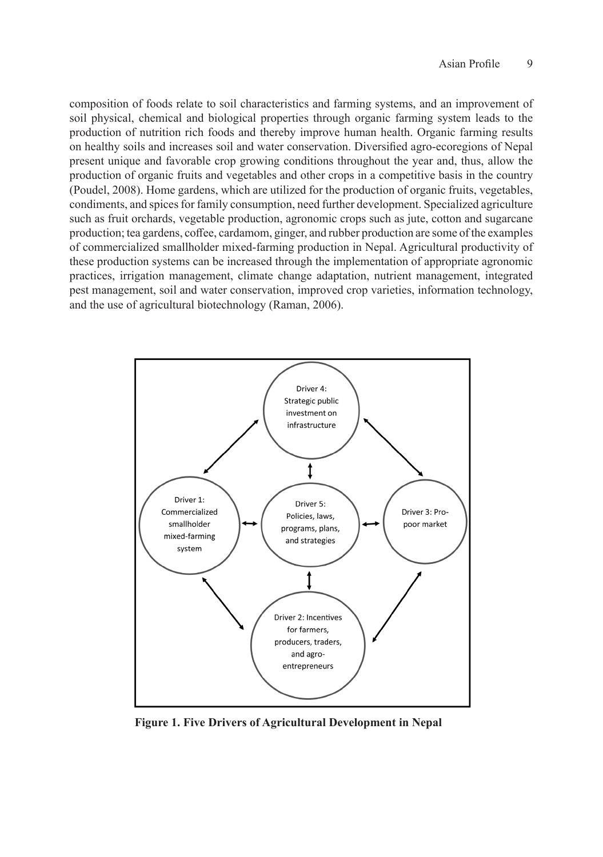composition of foods relate to soil characteristics and farming systems, and an improvement of soil physical, chemical and biological properties through organic farming system leads to the production of nutrition rich foods and thereby improve human health. Organic farming results on healthy soils and increases soil and water conservation. Diversified agro-ecoregions of Nepal present unique and favorable crop growing conditions throughout the year and, thus, allow the production of organic fruits and vegetables and other crops in a competitive basis in the country (Poudel, 2008). Home gardens, which are utilized for the production of organic fruits, vegetables, condiments, and spices for family consumption, need further development. Specialized agriculture such as fruit orchards, vegetable production, agronomic crops such as jute, cotton and sugarcane production; tea gardens, coffee, cardamom, ginger, and rubber production are some of the examples of commercialized smallholder mixed-farming production in Nepal. Agricultural productivity of these production systems can be increased through the implementation of appropriate agronomic practices, irrigation management, climate change adaptation, nutrient management, integrated pest management, soil and water conservation, improved crop varieties, information technology, and the use of agricultural biotechnology (Raman, 2006).



**Figure 1. Five Drivers of Agricultural Development in Nepal**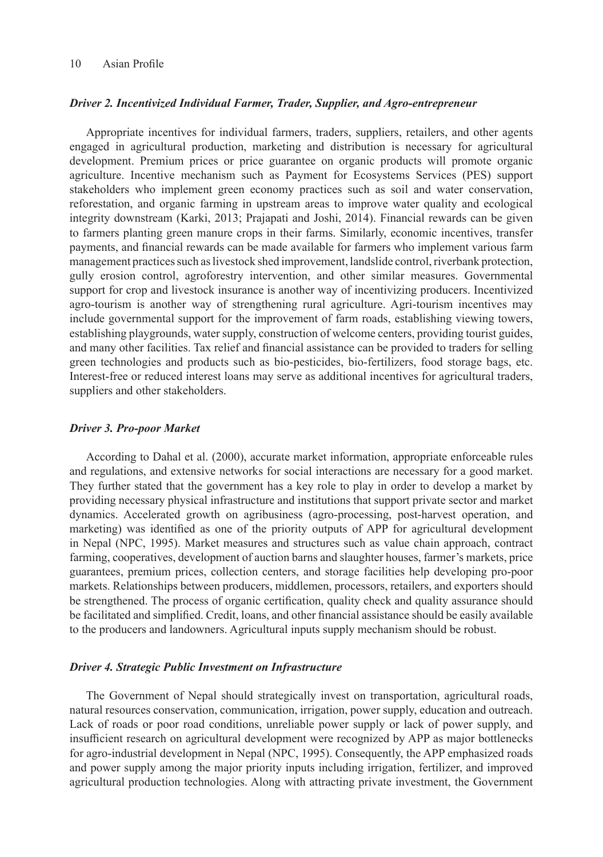# *Driver 2. Incentivized Individual Farmer, Trader, Supplier, and Agro-entrepreneur*

Appropriate incentives for individual farmers, traders, suppliers, retailers, and other agents engaged in agricultural production, marketing and distribution is necessary for agricultural development. Premium prices or price guarantee on organic products will promote organic agriculture. Incentive mechanism such as Payment for Ecosystems Services (PES) support stakeholders who implement green economy practices such as soil and water conservation, reforestation, and organic farming in upstream areas to improve water quality and ecological integrity downstream (Karki, 2013; Prajapati and Joshi, 2014). Financial rewards can be given to farmers planting green manure crops in their farms. Similarly, economic incentives, transfer payments, and financial rewards can be made available for farmers who implement various farm management practices such as livestock shed improvement, landslide control, riverbank protection, gully erosion control, agroforestry intervention, and other similar measures. Governmental support for crop and livestock insurance is another way of incentivizing producers. Incentivized agro-tourism is another way of strengthening rural agriculture. Agri-tourism incentives may include governmental support for the improvement of farm roads, establishing viewing towers, establishing playgrounds, water supply, construction of welcome centers, providing tourist guides, and many other facilities. Tax relief and financial assistance can be provided to traders for selling green technologies and products such as bio-pesticides, bio-fertilizers, food storage bags, etc. Interest-free or reduced interest loans may serve as additional incentives for agricultural traders, suppliers and other stakeholders.

## *Driver 3. Pro-poor Market*

According to Dahal et al. (2000), accurate market information, appropriate enforceable rules and regulations, and extensive networks for social interactions are necessary for a good market. They further stated that the government has a key role to play in order to develop a market by providing necessary physical infrastructure and institutions that support private sector and market dynamics. Accelerated growth on agribusiness (agro-processing, post-harvest operation, and marketing) was identified as one of the priority outputs of APP for agricultural development in Nepal (NPC, 1995). Market measures and structures such as value chain approach, contract farming, cooperatives, development of auction barns and slaughter houses, farmer's markets, price guarantees, premium prices, collection centers, and storage facilities help developing pro-poor markets. Relationships between producers, middlemen, processors, retailers, and exporters should be strengthened. The process of organic certification, quality check and quality assurance should be facilitated and simplified. Credit, loans, and other financial assistance should be easily available to the producers and landowners. Agricultural inputs supply mechanism should be robust.

## *Driver 4. Strategic Public Investment on Infrastructure*

The Government of Nepal should strategically invest on transportation, agricultural roads, natural resources conservation, communication, irrigation, power supply, education and outreach. Lack of roads or poor road conditions, unreliable power supply or lack of power supply, and insufficient research on agricultural development were recognized by APP as major bottlenecks for agro-industrial development in Nepal (NPC, 1995). Consequently, the APP emphasized roads and power supply among the major priority inputs including irrigation, fertilizer, and improved agricultural production technologies. Along with attracting private investment, the Government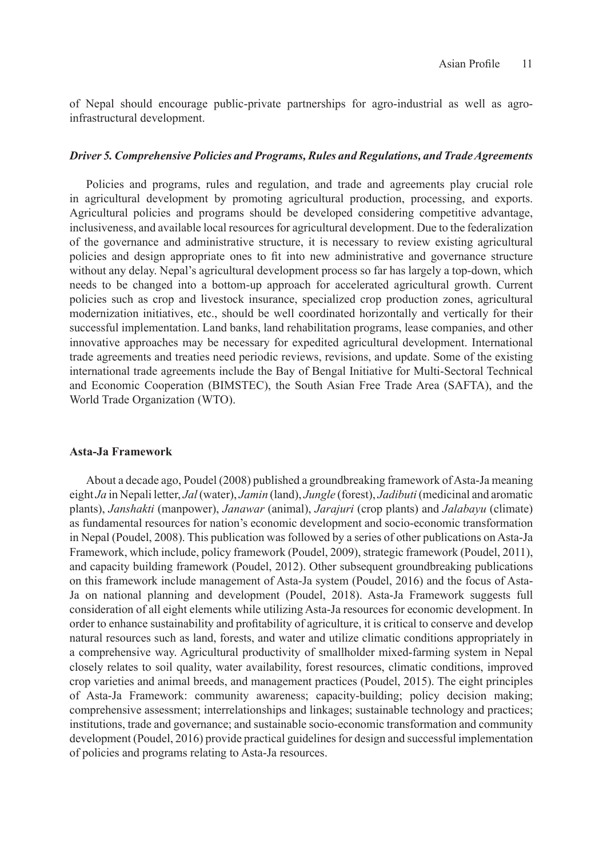of Nepal should encourage public-private partnerships for agro-industrial as well as agroinfrastructural development.

#### *Driver 5. Comprehensive Policies and Programs, Rules and Regulations, and Trade Agreements*

Policies and programs, rules and regulation, and trade and agreements play crucial role in agricultural development by promoting agricultural production, processing, and exports. Agricultural policies and programs should be developed considering competitive advantage, inclusiveness, and available local resources for agricultural development. Due to the federalization of the governance and administrative structure, it is necessary to review existing agricultural policies and design appropriate ones to fit into new administrative and governance structure without any delay. Nepal's agricultural development process so far has largely a top-down, which needs to be changed into a bottom-up approach for accelerated agricultural growth. Current policies such as crop and livestock insurance, specialized crop production zones, agricultural modernization initiatives, etc., should be well coordinated horizontally and vertically for their successful implementation. Land banks, land rehabilitation programs, lease companies, and other innovative approaches may be necessary for expedited agricultural development. International trade agreements and treaties need periodic reviews, revisions, and update. Some of the existing international trade agreements include the Bay of Bengal Initiative for Multi-Sectoral Technical and Economic Cooperation (BIMSTEC), the South Asian Free Trade Area (SAFTA), and the World Trade Organization (WTO).

## **Asta-Ja Framework**

About a decade ago, Poudel (2008) published a groundbreaking framework of Asta-Ja meaning eight *Ja* in Nepali letter, *Jal* (water), *Jamin* (land), *Jungle* (forest), *Jadibuti* (medicinal and aromatic plants), *Janshakti* (manpower), *Janawar* (animal), *Jarajuri* (crop plants) and *Jalabayu* (climate) as fundamental resources for nation's economic development and socio-economic transformation in Nepal (Poudel, 2008). This publication was followed by a series of other publications on Asta-Ja Framework, which include, policy framework (Poudel, 2009), strategic framework (Poudel, 2011), and capacity building framework (Poudel, 2012). Other subsequent groundbreaking publications on this framework include management of Asta-Ja system (Poudel, 2016) and the focus of Asta-Ja on national planning and development (Poudel, 2018). Asta-Ja Framework suggests full consideration of all eight elements while utilizing Asta-Ja resources for economic development. In order to enhance sustainability and profitability of agriculture, it is critical to conserve and develop natural resources such as land, forests, and water and utilize climatic conditions appropriately in a comprehensive way. Agricultural productivity of smallholder mixed-farming system in Nepal closely relates to soil quality, water availability, forest resources, climatic conditions, improved crop varieties and animal breeds, and management practices (Poudel, 2015). The eight principles of Asta-Ja Framework: community awareness; capacity-building; policy decision making; comprehensive assessment; interrelationships and linkages; sustainable technology and practices; institutions, trade and governance; and sustainable socio-economic transformation and community development (Poudel, 2016) provide practical guidelines for design and successful implementation of policies and programs relating to Asta-Ja resources.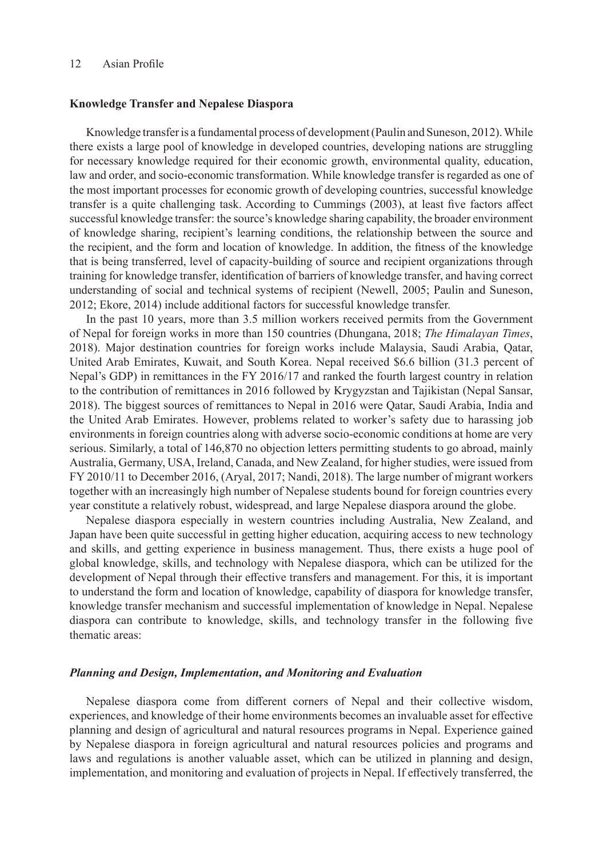#### **Knowledge Transfer and Nepalese Diaspora**

Knowledge transfer is a fundamental process of development (Paulin and Suneson, 2012). While there exists a large pool of knowledge in developed countries, developing nations are struggling for necessary knowledge required for their economic growth, environmental quality, education, law and order, and socio-economic transformation. While knowledge transfer is regarded as one of the most important processes for economic growth of developing countries, successful knowledge transfer is a quite challenging task. According to Cummings (2003), at least five factors affect successful knowledge transfer: the source's knowledge sharing capability, the broader environment of knowledge sharing, recipient's learning conditions, the relationship between the source and the recipient, and the form and location of knowledge. In addition, the fitness of the knowledge that is being transferred, level of capacity-building of source and recipient organizations through training for knowledge transfer, identification of barriers of knowledge transfer, and having correct understanding of social and technical systems of recipient (Newell, 2005; Paulin and Suneson, 2012; Ekore, 2014) include additional factors for successful knowledge transfer.

In the past 10 years, more than 3.5 million workers received permits from the Government of Nepal for foreign works in more than 150 countries (Dhungana, 2018; *The Himalayan Times*, 2018). Major destination countries for foreign works include Malaysia, Saudi Arabia, Qatar, United Arab Emirates, Kuwait, and South Korea. Nepal received \$6.6 billion (31.3 percent of Nepal's GDP) in remittances in the FY 2016/17 and ranked the fourth largest country in relation to the contribution of remittances in 2016 followed by Krygyzstan and Tajikistan (Nepal Sansar, 2018). The biggest sources of remittances to Nepal in 2016 were Qatar, Saudi Arabia, India and the United Arab Emirates. However, problems related to worker's safety due to harassing job environments in foreign countries along with adverse socio-economic conditions at home are very serious. Similarly, a total of 146,870 no objection letters permitting students to go abroad, mainly Australia, Germany, USA, Ireland, Canada, and New Zealand, for higher studies, were issued from FY 2010/11 to December 2016, (Aryal, 2017; Nandi, 2018). The large number of migrant workers together with an increasingly high number of Nepalese students bound for foreign countries every year constitute a relatively robust, widespread, and large Nepalese diaspora around the globe.

Nepalese diaspora especially in western countries including Australia, New Zealand, and Japan have been quite successful in getting higher education, acquiring access to new technology and skills, and getting experience in business management. Thus, there exists a huge pool of global knowledge, skills, and technology with Nepalese diaspora, which can be utilized for the development of Nepal through their effective transfers and management. For this, it is important to understand the form and location of knowledge, capability of diaspora for knowledge transfer, knowledge transfer mechanism and successful implementation of knowledge in Nepal. Nepalese diaspora can contribute to knowledge, skills, and technology transfer in the following five thematic areas:

#### *Planning and Design, Implementation, and Monitoring and Evaluation*

Nepalese diaspora come from different corners of Nepal and their collective wisdom, experiences, and knowledge of their home environments becomes an invaluable asset for effective planning and design of agricultural and natural resources programs in Nepal. Experience gained by Nepalese diaspora in foreign agricultural and natural resources policies and programs and laws and regulations is another valuable asset, which can be utilized in planning and design, implementation, and monitoring and evaluation of projects in Nepal. If effectively transferred, the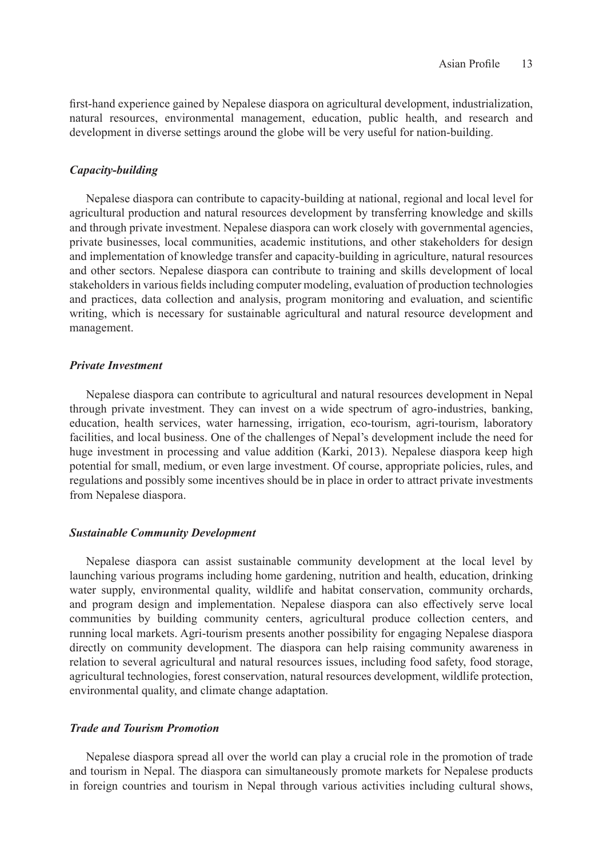first-hand experience gained by Nepalese diaspora on agricultural development, industrialization, natural resources, environmental management, education, public health, and research and development in diverse settings around the globe will be very useful for nation-building.

## *Capacity-building*

Nepalese diaspora can contribute to capacity-building at national, regional and local level for agricultural production and natural resources development by transferring knowledge and skills and through private investment. Nepalese diaspora can work closely with governmental agencies, private businesses, local communities, academic institutions, and other stakeholders for design and implementation of knowledge transfer and capacity-building in agriculture, natural resources and other sectors. Nepalese diaspora can contribute to training and skills development of local stakeholders in various fields including computer modeling, evaluation of production technologies and practices, data collection and analysis, program monitoring and evaluation, and scientific writing, which is necessary for sustainable agricultural and natural resource development and management.

## *Private Investment*

Nepalese diaspora can contribute to agricultural and natural resources development in Nepal through private investment. They can invest on a wide spectrum of agro-industries, banking, education, health services, water harnessing, irrigation, eco-tourism, agri-tourism, laboratory facilities, and local business. One of the challenges of Nepal's development include the need for huge investment in processing and value addition (Karki, 2013). Nepalese diaspora keep high potential for small, medium, or even large investment. Of course, appropriate policies, rules, and regulations and possibly some incentives should be in place in order to attract private investments from Nepalese diaspora.

## *Sustainable Community Development*

Nepalese diaspora can assist sustainable community development at the local level by launching various programs including home gardening, nutrition and health, education, drinking water supply, environmental quality, wildlife and habitat conservation, community orchards, and program design and implementation. Nepalese diaspora can also effectively serve local communities by building community centers, agricultural produce collection centers, and running local markets. Agri-tourism presents another possibility for engaging Nepalese diaspora directly on community development. The diaspora can help raising community awareness in relation to several agricultural and natural resources issues, including food safety, food storage, agricultural technologies, forest conservation, natural resources development, wildlife protection, environmental quality, and climate change adaptation.

## *Trade and Tourism Promotion*

Nepalese diaspora spread all over the world can play a crucial role in the promotion of trade and tourism in Nepal. The diaspora can simultaneously promote markets for Nepalese products in foreign countries and tourism in Nepal through various activities including cultural shows,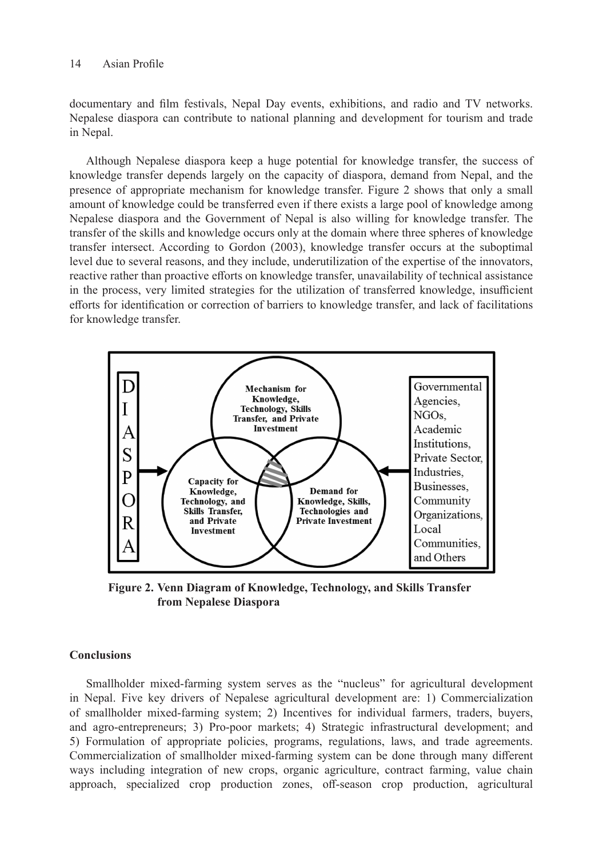documentary and film festivals, Nepal Day events, exhibitions, and radio and TV networks. Nepalese diaspora can contribute to national planning and development for tourism and trade in Nepal.

Although Nepalese diaspora keep a huge potential for knowledge transfer, the success of knowledge transfer depends largely on the capacity of diaspora, demand from Nepal, and the presence of appropriate mechanism for knowledge transfer. Figure 2 shows that only a small amount of knowledge could be transferred even if there exists a large pool of knowledge among Nepalese diaspora and the Government of Nepal is also willing for knowledge transfer. The transfer of the skills and knowledge occurs only at the domain where three spheres of knowledge transfer intersect. According to Gordon (2003), knowledge transfer occurs at the suboptimal level due to several reasons, and they include, underutilization of the expertise of the innovators, reactive rather than proactive efforts on knowledge transfer, unavailability of technical assistance in the process, very limited strategies for the utilization of transferred knowledge, insufficient efforts for identification or correction of barriers to knowledge transfer, and lack of facilitations for knowledge transfer.



**Figure 2. Venn Diagram of Knowledge, Technology, and Skills Transfer from Nepalese Diaspora**

# **Conclusions**

Smallholder mixed-farming system serves as the "nucleus" for agricultural development in Nepal. Five key drivers of Nepalese agricultural development are: 1) Commercialization of smallholder mixed-farming system; 2) Incentives for individual farmers, traders, buyers, and agro-entrepreneurs; 3) Pro-poor markets; 4) Strategic infrastructural development; and 5) Formulation of appropriate policies, programs, regulations, laws, and trade agreements. Commercialization of smallholder mixed-farming system can be done through many different ways including integration of new crops, organic agriculture, contract farming, value chain approach, specialized crop production zones, off-season crop production, agricultural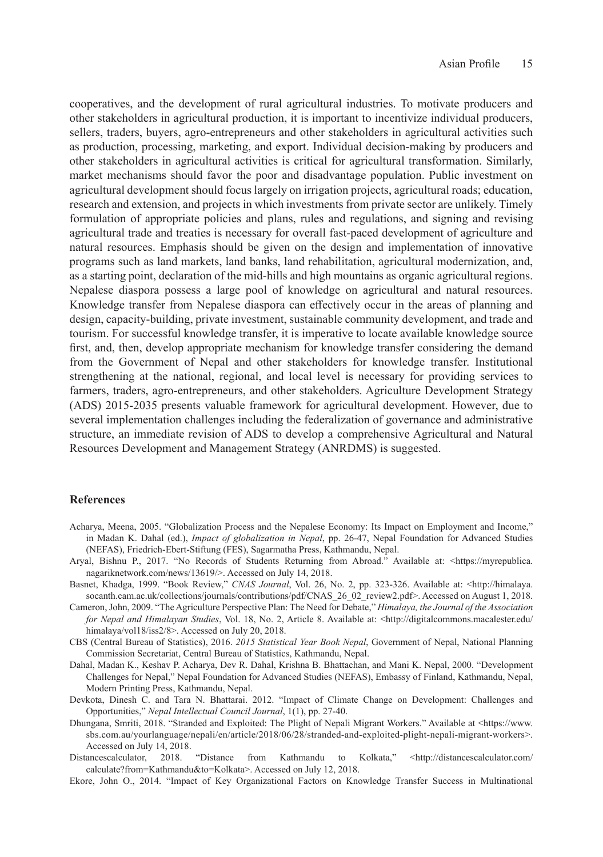cooperatives, and the development of rural agricultural industries. To motivate producers and other stakeholders in agricultural production, it is important to incentivize individual producers, sellers, traders, buyers, agro-entrepreneurs and other stakeholders in agricultural activities such as production, processing, marketing, and export. Individual decision-making by producers and other stakeholders in agricultural activities is critical for agricultural transformation. Similarly, market mechanisms should favor the poor and disadvantage population. Public investment on agricultural development should focus largely on irrigation projects, agricultural roads; education, research and extension, and projects in which investments from private sector are unlikely. Timely formulation of appropriate policies and plans, rules and regulations, and signing and revising agricultural trade and treaties is necessary for overall fast-paced development of agriculture and natural resources. Emphasis should be given on the design and implementation of innovative programs such as land markets, land banks, land rehabilitation, agricultural modernization, and, as a starting point, declaration of the mid-hills and high mountains as organic agricultural regions. Nepalese diaspora possess a large pool of knowledge on agricultural and natural resources. Knowledge transfer from Nepalese diaspora can effectively occur in the areas of planning and design, capacity-building, private investment, sustainable community development, and trade and tourism. For successful knowledge transfer, it is imperative to locate available knowledge source first, and, then, develop appropriate mechanism for knowledge transfer considering the demand from the Government of Nepal and other stakeholders for knowledge transfer. Institutional strengthening at the national, regional, and local level is necessary for providing services to farmers, traders, agro-entrepreneurs, and other stakeholders. Agriculture Development Strategy (ADS) 2015-2035 presents valuable framework for agricultural development. However, due to several implementation challenges including the federalization of governance and administrative structure, an immediate revision of ADS to develop a comprehensive Agricultural and Natural Resources Development and Management Strategy (ANRDMS) is suggested.

## **References**

- Acharya, Meena, 2005. "Globalization Process and the Nepalese Economy: Its Impact on Employment and Income," in Madan K. Dahal (ed.), *Impact of globalization in Nepal*, pp. 26-47, Nepal Foundation for Advanced Studies (NEFAS), Friedrich-Ebert-Stiftung (FES), Sagarmatha Press, Kathmandu, Nepal.
- Aryal, Bishnu P., 2017. "No Records of Students Returning from Abroad." Available at: <https://myrepublica. nagariknetwork.com/news/13619/>. Accessed on July 14, 2018.
- Basnet, Khadga, 1999. "Book Review," *CNAS Journal*, Vol. 26, No. 2, pp. 323-326. Available at: <http://himalaya. socanth.cam.ac.uk/collections/journals/contributions/pdf/CNAS\_26\_02\_review2.pdf>. Accessed on August 1, 2018.
- Cameron, John, 2009. "The Agriculture Perspective Plan: The Need for Debate," *Himalaya, the Journal of the Association for Nepal and Himalayan Studies*, Vol. 18, No. 2, Article 8. Available at: <http://digitalcommons.macalester.edu/ himalaya/vol18/iss2/8>. Accessed on July 20, 2018.
- CBS (Central Bureau of Statistics), 2016. *2015 Statistical Year Book Nepal*, Government of Nepal, National Planning Commission Secretariat, Central Bureau of Statistics, Kathmandu, Nepal.
- Dahal, Madan K., Keshav P. Acharya, Dev R. Dahal, Krishna B. Bhattachan, and Mani K. Nepal, 2000. "Development Challenges for Nepal," Nepal Foundation for Advanced Studies (NEFAS), Embassy of Finland, Kathmandu, Nepal, Modern Printing Press, Kathmandu, Nepal.
- Devkota, Dinesh C. and Tara N. Bhattarai. 2012. "Impact of Climate Change on Development: Challenges and Opportunities," *Nepal Intellectual Council Journal*, 1(1), pp. 27-40.
- Dhungana, Smriti, 2018. "Stranded and Exploited: The Plight of Nepali Migrant Workers." Available at <https://www. sbs.com.au/yourlanguage/nepali/en/article/2018/06/28/stranded-and-exploited-plight-nepali-migrant-workers>. Accessed on July 14, 2018.
- Distancescalculator, 2018. "Distance from Kathmandu to Kolkata," <http://distancescalculator.com/ calculate?from=Kathmandu&to=Kolkata>. Accessed on July 12, 2018.
- Ekore, John O., 2014. "Impact of Key Organizational Factors on Knowledge Transfer Success in Multinational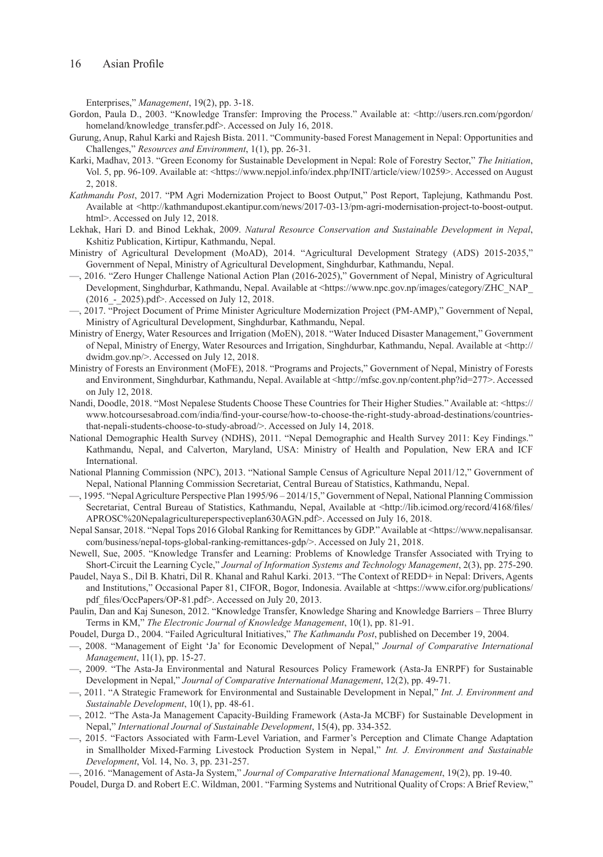Enterprises," *Management*, 19(2), pp. 3-18.

- Gordon, Paula D., 2003. "Knowledge Transfer: Improving the Process." Available at: <http://users.rcn.com/pgordon/ homeland/knowledge\_transfer.pdf>. Accessed on July 16, 2018.
- Gurung, Anup, Rahul Karki and Rajesh Bista. 2011. "Community-based Forest Management in Nepal: Opportunities and Challenges," *Resources and Environment*, 1(1), pp. 26-31.
- Karki, Madhav, 2013. "Green Economy for Sustainable Development in Nepal: Role of Forestry Sector," *The Initiation*, Vol. 5, pp. 96-109. Available at: <https://www.nepjol.info/index.php/INIT/article/view/10259>. Accessed on August 2, 2018.
- *Kathmandu Post*, 2017. "PM Agri Modernization Project to Boost Output," Post Report, Taplejung, Kathmandu Post. Available at <http://kathmandupost.ekantipur.com/news/2017-03-13/pm-agri-modernisation-project-to-boost-output. html>. Accessed on July 12, 2018.
- Lekhak, Hari D. and Binod Lekhak, 2009. *Natural Resource Conservation and Sustainable Development in Nepal*, Kshitiz Publication, Kirtipur, Kathmandu, Nepal.
- Ministry of Agricultural Development (MoAD), 2014. "Agricultural Development Strategy (ADS) 2015-2035," Government of Nepal, Ministry of Agricultural Development, Singhdurbar, Kathmandu, Nepal.
- —, 2016. "Zero Hunger Challenge National Action Plan (2016-2025)," Government of Nepal, Ministry of Agricultural Development, Singhdurbar, Kathmandu, Nepal. Available at <https://www.npc.gov.np/images/category/ZHC\_NAP\_ (2016\_-\_2025).pdf>. Accessed on July 12, 2018.
- —, 2017. "Project Document of Prime Minister Agriculture Modernization Project (PM-AMP)," Government of Nepal, Ministry of Agricultural Development, Singhdurbar, Kathmandu, Nepal.
- Ministry of Energy, Water Resources and Irrigation (MoEN), 2018. "Water Induced Disaster Management," Government of Nepal, Ministry of Energy, Water Resources and Irrigation, Singhdurbar, Kathmandu, Nepal. Available at <http:// dwidm.gov.np/>. Accessed on July 12, 2018.
- Ministry of Forests an Environment (MoFE), 2018. "Programs and Projects," Government of Nepal, Ministry of Forests and Environment, Singhdurbar, Kathmandu, Nepal. Available at <http://mfsc.gov.np/content.php?id=277>. Accessed on July 12, 2018.
- Nandi, Doodle, 2018. "Most Nepalese Students Choose These Countries for Their Higher Studies." Available at: <https:// www.hotcoursesabroad.com/india/find-your-course/how-to-choose-the-right-study-abroad-destinations/countriesthat-nepali-students-choose-to-study-abroad/>. Accessed on July 14, 2018.
- National Demographic Health Survey (NDHS), 2011. "Nepal Demographic and Health Survey 2011: Key Findings." Kathmandu, Nepal, and Calverton, Maryland, USA: Ministry of Health and Population, New ERA and ICF International.
- National Planning Commission (NPC), 2013. "National Sample Census of Agriculture Nepal 2011/12," Government of Nepal, National Planning Commission Secretariat, Central Bureau of Statistics, Kathmandu, Nepal.
- —, 1995. "Nepal Agriculture Perspective Plan 1995/96 2014/15," Government of Nepal, National Planning Commission Secretariat, Central Bureau of Statistics, Kathmandu, Nepal, Available at <http://lib.icimod.org/record/4168/files/ APROSC%20Nepalagricultureperspectiveplan630AGN.pdf>. Accessed on July 16, 2018.
- Nepal Sansar, 2018. "Nepal Tops 2016 Global Ranking for Remittances by GDP." Available at <https://www.nepalisansar. com/business/nepal-tops-global-ranking-remittances-gdp/>. Accessed on July 21, 2018.
- Newell, Sue, 2005. "Knowledge Transfer and Learning: Problems of Knowledge Transfer Associated with Trying to Short-Circuit the Learning Cycle," *Journal of Information Systems and Technology Management*, 2(3), pp. 275-290.
- Paudel, Naya S., Dil B. Khatri, Dil R. Khanal and Rahul Karki. 2013. "The Context of REDD+ in Nepal: Drivers, Agents and Institutions," Occasional Paper 81, CIFOR, Bogor, Indonesia. Available at <https://www.cifor.org/publications/ pdf\_files/OccPapers/OP-81.pdf>. Accessed on July 20, 2013.
- Paulin, Dan and Kaj Suneson, 2012. "Knowledge Transfer, Knowledge Sharing and Knowledge Barriers Three Blurry Terms in KM," *The Electronic Journal of Knowledge Management*, 10(1), pp. 81-91.
- Poudel, Durga D., 2004. "Failed Agricultural Initiatives," *The Kathmandu Post*, published on December 19, 2004.
- —, 2008. "Management of Eight 'Ja' for Economic Development of Nepal," *Journal of Comparative International Management*, 11(1), pp. 15-27.
- —, 2009. "The Asta-Ja Environmental and Natural Resources Policy Framework (Asta-Ja ENRPF) for Sustainable Development in Nepal," *Journal of Comparative International Management*, 12(2), pp. 49-71.
- —, 2011. "A Strategic Framework for Environmental and Sustainable Development in Nepal," *Int. J. Environment and Sustainable Development*, 10(1), pp. 48-61.
- —, 2012. "The Asta-Ja Management Capacity-Building Framework (Asta-Ja MCBF) for Sustainable Development in Nepal," *International Journal of Sustainable Development*, 15(4), pp. 334-352.
- —, 2015. "Factors Associated with Farm-Level Variation, and Farmer's Perception and Climate Change Adaptation in Smallholder Mixed-Farming Livestock Production System in Nepal," *Int. J. Environment and Sustainable Development*, Vol. 14, No. 3, pp. 231-257.

—, 2016. "Management of Asta-Ja System," *Journal of Comparative International Management*, 19(2), pp. 19-40.

Poudel, Durga D. and Robert E.C. Wildman, 2001. "Farming Systems and Nutritional Quality of Crops: A Brief Review,"